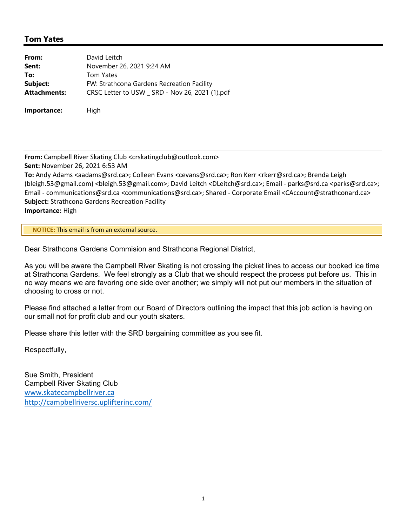## **Tom Yates**

| From:               | David Leitch                                    |
|---------------------|-------------------------------------------------|
| Sent:               | November 26, 2021 9:24 AM                       |
| To:                 | <b>Tom Yates</b>                                |
| Subject:            | FW: Strathcona Gardens Recreation Facility      |
| <b>Attachments:</b> | CRSC Letter to USW _ SRD - Nov 26, 2021 (1).pdf |
| Importance:         | High                                            |

**From:** Campbell River Skating Club <crskatingclub@outlook.com>

**Sent:** November 26, 2021 6:53 AM

**To:** Andy Adams <aadams@srd.ca>; Colleen Evans <cevans@srd.ca>; Ron Kerr <rkerr@srd.ca>; Brenda Leigh (bleigh.53@gmail.com) <bleigh.53@gmail.com>; David Leitch <DLeitch@srd.ca>; Email ‐ parks@srd.ca <parks@srd.ca>; Email ‐ communications@srd.ca <communications@srd.ca>; Shared ‐ Corporate Email <CAccount@strathconard.ca> **Subject:** Strathcona Gardens Recreation Facility **Importance:** High

**\*\* NOTICE:** This email is from an external source.**\*\***

Dear Strathcona Gardens Commision and Strathcona Regional District,

As you will be aware the Campbell River Skating is not crossing the picket lines to access our booked ice time at Strathcona Gardens. We feel strongly as a Club that we should respect the process put before us. This in no way means we are favoring one side over another; we simply will not put our members in the situation of choosing to cross or not.

Please find attached a letter from our Board of Directors outlining the impact that this job action is having on our small not for profit club and our youth skaters.

Please share this letter with the SRD bargaining committee as you see fit.

Respectfully,

Sue Smith, President Campbell River Skating Club www.skatecampbellriver.ca http://campbellriversc.uplifterinc.com/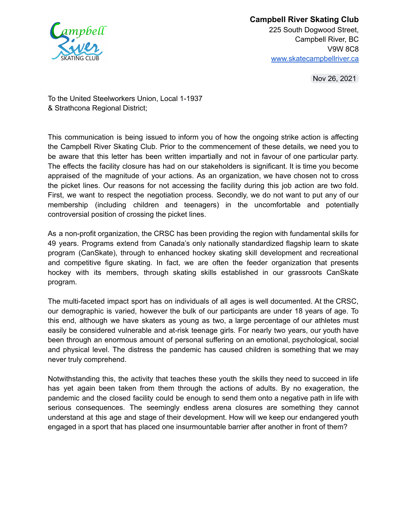

**Campbell River Skating Club** 225 South Dogwood Street, Campbell River, BC V9W 8C8 www.skatecampbellriver.ca

Nov 26, 2021

To the United Steelworkers Union, Local 1-1937 & Strathcona Regional District;

This communication is being issued to inform you of how the ongoing strike action is affecting the Campbell River Skating Club. Prior to the commencement of these details, we need you to be aware that this letter has been written impartially and not in favour of one particular party. The effects the facility closure has had on our stakeholders is significant. It is time you become appraised of the magnitude of your actions. As an organization, we have chosen not to cross the picket lines. Our reasons for not accessing the facility during this job action are two fold. First, we want to respect the negotiation process. Secondly, we do not want to put any of our membership (including children and teenagers) in the uncomfortable and potentially controversial position of crossing the picket lines.

As a non-profit organization, the CRSC has been providing the region with fundamental skills for 49 years. Programs extend from Canada's only nationally standardized flagship learn to skate program (CanSkate), through to enhanced hockey skating skill development and recreational and competitive figure skating. In fact, we are often the feeder organization that presents hockey with its members, through skating skills established in our grassroots CanSkate program.

The multi-faceted impact sport has on individuals of all ages is well documented. At the CRSC, our demographic is varied, however the bulk of our participants are under 18 years of age. To this end, although we have skaters as young as two, a large percentage of our athletes must easily be considered vulnerable and at-risk teenage girls. For nearly two years, our youth have been through an enormous amount of personal suffering on an emotional, psychological, social and physical level. The distress the pandemic has caused children is something that we may never truly comprehend.

Notwithstanding this, the activity that teaches these youth the skills they need to succeed in life has yet again been taken from them through the actions of adults. By no exageration, the pandemic and the closed facility could be enough to send them onto a negative path in life with serious consequences. The seemingly endless arena closures are something they cannot understand at this age and stage of their development. How will we keep our endangered youth engaged in a sport that has placed one insurmountable barrier after another in front of them?